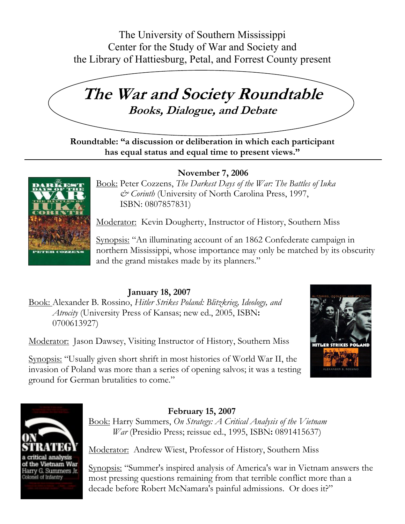The University of Southern Mississippi Center for the Study of War and Society and the Library of Hattiesburg, Petal, and Forrest County present



Roundtable: "a discussion or deliberation in which each participant has equal status and equal time to present views."

**November 7, 2006**



ֺ֖֚֝֬

Book: Peter Cozzens, *The Darkest Days of the War: The Battles of Iuka & Corinth* (University of North Carolina Press, 1997, ISBN: 0807857831)

Moderator: Kevin Dougherty, Instructor of History, Southern Miss

Synopsis: "An illuminating account of an 1862 Confederate campaign in northern Mississippi, whose importance may only be matched by its obscurity and the grand mistakes made by its planners."

## **January 18, 2007**

Book: Alexander B. Rossino, *Hitler Strikes Poland: Blitzkrieg, Ideology, and Atrocity* (University Press of Kansas; new ed., 2005, ISBN: 0700613927)

Moderator: Jason Dawsey, Visiting Instructor of History, Southern Miss

Synopsis: "Usually given short shrift in most histories of World War II, the invasion of Poland was more than a series of opening salvos; it was a testing ground for German brutalities to come."





## **February 15, 2007**

Book: Harry Summers, *On Strategy: A Critical Analysis of the Vietnam War* (Presidio Press; reissue ed., 1995, ISBN: 0891415637)

Moderator: Andrew Wiest, Professor of History, Southern Miss

Synopsis: "Summer's inspired analysis of America's war in Vietnam answers the most pressing questions remaining from that terrible conflict more than a decade before Robert McNamara's painful admissions. Or does it?"